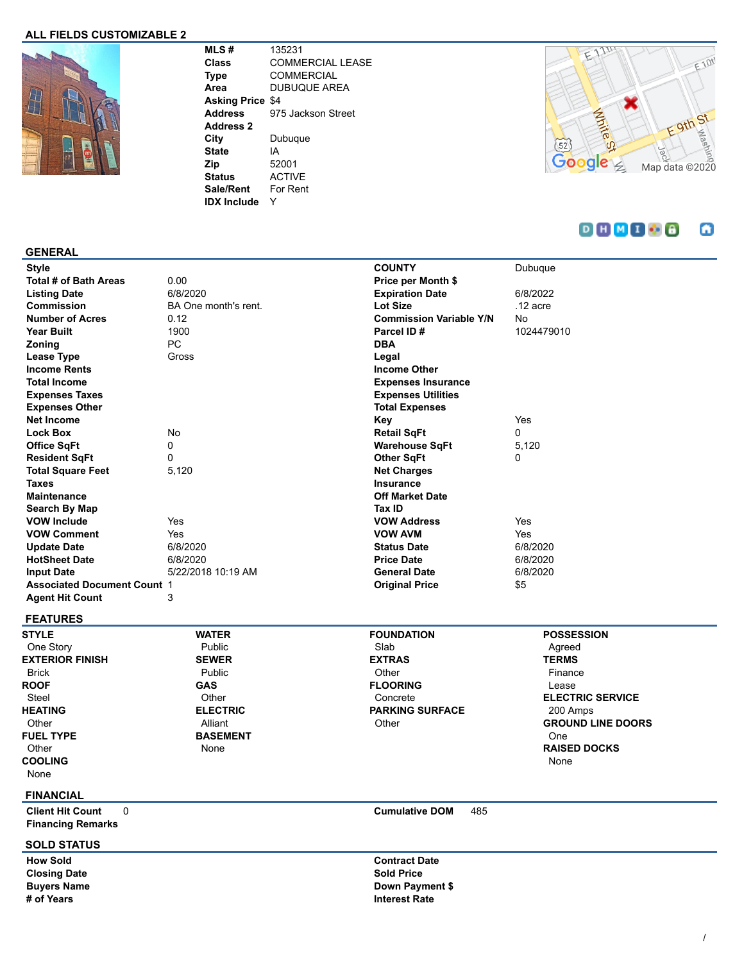## **ALL FIELDS CUSTOMIZABLE 2**



**MLS #** 135231 **Class** COMMERCIAL LEASE **Type** COMMERCIAL **Area** DUBUQUE AREA **Asking Price** \$4 **Address** 975 Jackson Street **Address 2 City** Dubuque **State** IA **Zip** 52001 **Status** ACTIVE **Sale/Rent** For Rent **IDX Include** Y



#### $D H M I B$ ω

#### **GENERAL**

| <b>Style</b>                       |                      | <b>COUNTY</b>                  | Dubuque    |
|------------------------------------|----------------------|--------------------------------|------------|
| Total # of Bath Areas              | 0.00                 | Price per Month \$             |            |
| <b>Listing Date</b>                | 6/8/2020             | <b>Expiration Date</b>         | 6/8/2022   |
| Commission                         | BA One month's rent. | <b>Lot Size</b>                | $.12$ acre |
| <b>Number of Acres</b>             | 0.12                 | <b>Commission Variable Y/N</b> | No         |
| Year Built                         | 1900                 | Parcel ID#                     | 1024479010 |
| <b>Zoning</b>                      | PC                   | <b>DBA</b>                     |            |
| Lease Type                         | Gross                | Legal                          |            |
| <b>Income Rents</b>                |                      | <b>Income Other</b>            |            |
| <b>Total Income</b>                |                      | <b>Expenses Insurance</b>      |            |
| <b>Expenses Taxes</b>              |                      | <b>Expenses Utilities</b>      |            |
| <b>Expenses Other</b>              |                      | <b>Total Expenses</b>          |            |
| <b>Net Income</b>                  |                      | Key                            | Yes        |
| <b>Lock Box</b>                    | No                   | <b>Retail SqFt</b>             | 0          |
| <b>Office SqFt</b>                 | 0                    | <b>Warehouse SqFt</b>          | 5,120      |
| <b>Resident SqFt</b>               | 0                    | <b>Other SqFt</b>              | 0          |
| <b>Total Square Feet</b>           | 5,120                | <b>Net Charges</b>             |            |
| <b>Taxes</b>                       |                      | <b>Insurance</b>               |            |
| <b>Maintenance</b>                 |                      | <b>Off Market Date</b>         |            |
| Search By Map                      |                      | Tax ID                         |            |
| <b>VOW Include</b>                 | Yes                  | <b>VOW Address</b>             | Yes        |
| <b>VOW Comment</b>                 | Yes                  | <b>VOW AVM</b>                 | Yes        |
| <b>Update Date</b>                 | 6/8/2020             | <b>Status Date</b>             | 6/8/2020   |
| <b>HotSheet Date</b>               | 6/8/2020             | <b>Price Date</b>              | 6/8/2020   |
| <b>Input Date</b>                  | 5/22/2018 10:19 AM   | <b>General Date</b>            | 6/8/2020   |
| <b>Associated Document Count 1</b> |                      | <b>Original Price</b>          | \$5        |
| <b>Agent Hit Count</b>             | 3                    |                                |            |

# **FEATURES**

**STYLE** One Story **EXTERIOR FINISH** Brick **ROOF** Steel **HEATING Other FUEL TYPE Other COOLING** None

#### Public **SEWER** Public **GAS Other ELECTRIC** Alliant **BASEMENT**

None

**WATER**

# **FOUNDATION** Slab **EXTRAS Other FLOORING** Concrete **PARKING SURFACE Other**

### **POSSESSION** Agreed **TERMS** Finance Lease **ELECTRIC SERVICE** 200 Amps **GROUND LINE DOORS** One **RAISED DOCKS** None

#### **FINANCIAL**

**Client Hit Count** 0 **Cumulative DOM** 485 **Financing Remarks**

#### **SOLD STATUS**

**Closing Date Sold Price** 

**How Sold Contract Date Buyers Name Down Payment \$ # of Years Interest Rate**